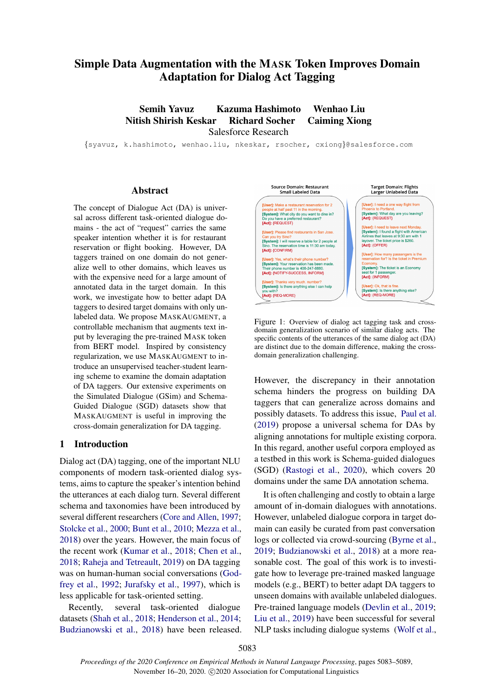# Simple Data Augmentation with the MASK Token Improves Domain Adaptation for Dialog Act Tagging

Semih Yavuz Kazuma Hashimoto Wenhao Liu Nitish Shirish Keskar Richard Socher Caiming Xiong Salesforce Research

{syavuz, k.hashimoto, wenhao.liu, nkeskar, rsocher, cxiong}@salesforce.com

#### Abstract

The concept of Dialogue Act (DA) is universal across different task-oriented dialogue domains - the act of "request" carries the same speaker intention whether it is for restaurant reservation or flight booking. However, DA taggers trained on one domain do not generalize well to other domains, which leaves us with the expensive need for a large amount of annotated data in the target domain. In this work, we investigate how to better adapt DA taggers to desired target domains with only unlabeled data. We propose MASKAUGMENT, a controllable mechanism that augments text input by leveraging the pre-trained MASK token from BERT model. Inspired by consistency regularization, we use MASKAUGMENT to introduce an unsupervised teacher-student learning scheme to examine the domain adaptation of DA taggers. Our extensive experiments on the Simulated Dialogue (GSim) and Schema-Guided Dialogue (SGD) datasets show that MASKAUGMENT is useful in improving the cross-domain generalization for DA tagging.

# 1 Introduction

Dialog act (DA) tagging, one of the important NLU components of modern task-oriented dialog systems, aims to capture the speaker's intention behind the utterances at each dialog turn. Several different schema and taxonomies have been introduced by several different researchers [\(Core and Allen,](#page-5-0) [1997;](#page-5-0) [Stolcke et al.,](#page-6-0) [2000;](#page-6-0) [Bunt et al.,](#page-5-1) [2010;](#page-5-1) [Mezza et al.,](#page-5-2) [2018\)](#page-5-2) over the years. However, the main focus of the recent work [\(Kumar et al.,](#page-5-3) [2018;](#page-5-3) [Chen et al.,](#page-5-4) [2018;](#page-5-4) [Raheja and Tetreault,](#page-6-1) [2019\)](#page-6-1) on DA tagging was on human-human social conversations [\(God](#page-5-5)[frey et al.,](#page-5-5) [1992;](#page-5-5) [Jurafsky et al.,](#page-5-6) [1997\)](#page-5-6), which is less applicable for task-oriented setting.

Recently, several task-oriented dialogue datasets [\(Shah et al.,](#page-6-2) [2018;](#page-6-2) [Henderson et al.,](#page-5-7) [2014;](#page-5-7) [Budzianowski et al.,](#page-5-8) [2018\)](#page-5-8) have been released.

<span id="page-0-0"></span>

Figure 1: Overview of dialog act tagging task and crossdomain generalization scenario of similar dialog acts. The specific contents of the utterances of the same dialog act (DA) are distinct due to the domain difference, making the crossdomain generalization challenging.

However, the discrepancy in their annotation schema hinders the progress on building DA taggers that can generalize across domains and possibly datasets. To address this issue, [Paul et al.](#page-5-9) [\(2019\)](#page-5-9) propose a universal schema for DAs by aligning annotations for multiple existing corpora. In this regard, another useful corpora employed as a testbed in this work is Schema-guided dialogues (SGD) [\(Rastogi et al.,](#page-6-3) [2020\)](#page-6-3), which covers 20 domains under the same DA annotation schema.

It is often challenging and costly to obtain a large amount of in-domain dialogues with annotations. However, unlabeled dialogue corpora in target domain can easily be curated from past conversation logs or collected via crowd-sourcing [\(Byrne et al.,](#page-5-10) [2019;](#page-5-10) [Budzianowski et al.,](#page-5-8) [2018\)](#page-5-8) at a more reasonable cost. The goal of this work is to investigate how to leverage pre-trained masked language models (e.g., BERT) to better adapt DA taggers to unseen domains with available unlabeled dialogues. Pre-trained language models [\(Devlin et al.,](#page-5-11) [2019;](#page-5-11) [Liu et al.,](#page-5-12) [2019\)](#page-5-12) have been successful for several NLP tasks including dialogue systems [\(Wolf et al.,](#page-6-4)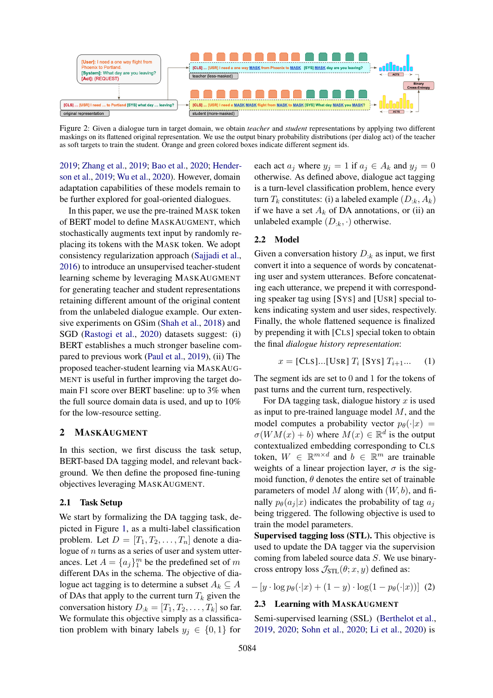<span id="page-1-0"></span>

Figure 2: Given a dialogue turn in target domain, we obtain *teacher* and *student* representations by applying two different maskings on its flattened original representation. We use the output binary probability distributions (per dialog act) of the teacher as soft targets to train the student. Orange and green colored boxes indicate different segment ids.

[2019;](#page-6-4) [Zhang et al.,](#page-6-5) [2019;](#page-6-5) [Bao et al.,](#page-5-13) [2020;](#page-5-13) [Hender](#page-5-14)[son et al.,](#page-5-14) [2019;](#page-5-14) [Wu et al.,](#page-6-6) [2020\)](#page-6-6). However, domain adaptation capabilities of these models remain to be further explored for goal-oriented dialogues.

In this paper, we use the pre-trained MASK token of BERT model to define MASKAUGMENT, which stochastically augments text input by randomly replacing its tokens with the MASK token. We adopt consistency regularization approach [\(Sajjadi et al.,](#page-6-7) [2016\)](#page-6-7) to introduce an unsupervised teacher-student learning scheme by leveraging MASKAUGMENT for generating teacher and student representations retaining different amount of the original content from the unlabeled dialogue example. Our extensive experiments on GSim [\(Shah et al.,](#page-6-2) [2018\)](#page-6-2) and SGD [\(Rastogi et al.,](#page-6-3) [2020\)](#page-6-3) datasets suggest: (i) BERT establishes a much stronger baseline compared to previous work [\(Paul et al.,](#page-5-9) [2019\)](#page-5-9), (ii) The proposed teacher-student learning via MASKAUG-MENT is useful in further improving the target domain F1 score over BERT baseline: up to 3% when the full source domain data is used, and up to 10% for the low-resource setting.

#### 2 MASKAUGMENT

In this section, we first discuss the task setup, BERT-based DA tagging model, and relevant background. We then define the proposed fine-tuning objectives leveraging MASKAUGMENT.

## 2.1 Task Setup

We start by formalizing the DA tagging task, depicted in Figure [1,](#page-0-0) as a multi-label classification problem. Let  $D = [T_1, T_2, \ldots, T_n]$  denote a dialogue of  $n$  turns as a series of user and system utterances. Let  $A = \{a_j\}_1^m$  be the predefined set of m different DAs in the schema. The objective of dialogue act tagging is to determine a subset  $A_k \subseteq A$ of DAs that apply to the current turn  $T_k$  given the conversation history  $D_{:k} = [T_1, T_2, \ldots, T_k]$  so far. We formulate this objective simply as a classification problem with binary labels  $y_j \in \{0, 1\}$  for each act  $a_j$  where  $y_j = 1$  if  $a_j \in A_k$  and  $y_j = 0$ otherwise. As defined above, dialogue act tagging is a turn-level classification problem, hence every turn  $T_k$  constitutes: (i) a labeled example  $(D_{:k}, A_k)$ if we have a set  $A_k$  of DA annotations, or (ii) an unlabeled example  $(D_{:k}, \cdot)$  otherwise.

# 2.2 Model

Given a conversation history  $D_{:k}$  as input, we first convert it into a sequence of words by concatenating user and system utterances. Before concatenating each utterance, we prepend it with corresponding speaker tag using [SYS] and [USR] special tokens indicating system and user sides, respectively. Finally, the whole flattened sequence is finalized by prepending it with [CLS] special token to obtain the final *dialogue history representation*:

$$
x = [CLS] \dots [USR] T_i [SYS] T_{i+1} \dots (1)
$$

The segment ids are set to 0 and 1 for the tokens of past turns and the current turn, respectively.

For DA tagging task, dialogue history  $x$  is used as input to pre-trained language model  $M$ , and the model computes a probability vector  $p_\theta(\cdot|x)$  =  $\sigma(WM(x) + b)$  where  $M(x) \in \mathbb{R}^d$  is the output contextualized embedding corresponding to CLS token,  $W \in \mathbb{R}^{m \times d}$  and  $b \in \mathbb{R}^m$  are trainable weights of a linear projection layer,  $\sigma$  is the sigmoid function,  $\theta$  denotes the entire set of trainable parameters of model M along with  $(W, b)$ , and finally  $p_{\theta}(a_i | x)$  indicates the probability of tag  $a_i$ being triggered. The following objective is used to train the model parameters.

Supervised tagging loss (STL). This objective is used to update the DA tagger via the supervision coming from labeled source data S. We use binarycross entropy loss  $\mathcal{J}_{STL}(\theta; x, y)$  defined as:

$$
-[y \cdot \log p_{\theta}(\cdot | x) + (1 - y) \cdot \log(1 - p_{\theta}(\cdot | x))]
$$
 (2)

#### <span id="page-1-1"></span>2.3 Learning with MASKAUGMENT

Semi-supervised learning (SSL) [\(Berthelot et al.,](#page-5-15) [2019,](#page-5-15) [2020;](#page-5-16) [Sohn et al.,](#page-6-8) [2020;](#page-6-8) [Li et al.,](#page-5-17) [2020\)](#page-5-17) is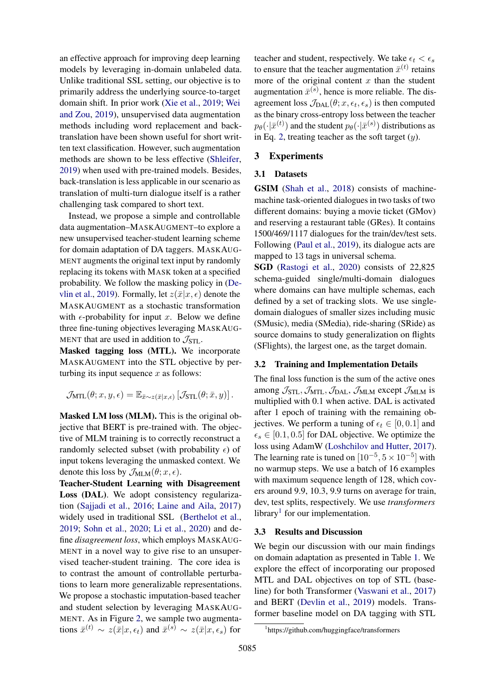an effective approach for improving deep learning models by leveraging in-domain unlabeled data. Unlike traditional SSL setting, our objective is to primarily address the underlying source-to-target domain shift. In prior work [\(Xie et al.,](#page-6-9) [2019;](#page-6-9) [Wei](#page-6-10) [and Zou,](#page-6-10) [2019\)](#page-6-10), unsupervised data augmentation methods including word replacement and backtranslation have been shown useful for short written text classification. However, such augmentation methods are shown to be less effective [\(Shleifer,](#page-6-11) [2019\)](#page-6-11) when used with pre-trained models. Besides, back-translation is less applicable in our scenario as translation of multi-turn dialogue itself is a rather challenging task compared to short text.

Instead, we propose a simple and controllable data augmentation–MASKAUGMENT–to explore a new unsupervised teacher-student learning scheme for domain adaptation of DA taggers. MASKAUG-MENT augments the original text input by randomly replacing its tokens with MASK token at a specified probability. We follow the masking policy in [\(De](#page-5-11)[vlin et al.,](#page-5-11) [2019\)](#page-5-11). Formally, let  $z(\bar{x}|x, \epsilon)$  denote the MASKAUGMENT as a stochastic transformation with  $\epsilon$ -probability for input x. Below we define three fine-tuning objectives leveraging MASKAUG-MENT that are used in addition to  $\mathcal{J}_{STL}$ .

Masked tagging loss (MTL). We incorporate MASKAUGMENT into the STL objective by perturbing its input sequence  $x$  as follows:

$$
\mathcal{J}_{\text{MTL}}(\theta; x, y, \epsilon) = \mathbb{E}_{\bar{x} \sim z(\bar{x}|x,\epsilon)} \left[ \mathcal{J}_{\text{STL}}(\theta; \bar{x}, y) \right].
$$

Masked LM loss (MLM). This is the original objective that BERT is pre-trained with. The objective of MLM training is to correctly reconstruct a randomly selected subset (with probability  $\epsilon$ ) of input tokens leveraging the unmasked context. We denote this loss by  $\mathcal{J}_{MLM}(\theta; x, \epsilon)$ .

Teacher-Student Learning with Disagreement Loss (DAL). We adopt consistency regularization [\(Sajjadi et al.,](#page-6-7) [2016;](#page-6-7) [Laine and Aila,](#page-5-18) [2017\)](#page-5-18) widely used in traditional SSL [\(Berthelot et al.,](#page-5-15) [2019;](#page-5-15) [Sohn et al.,](#page-6-8) [2020;](#page-6-8) [Li et al.,](#page-5-17) [2020\)](#page-5-17) and define *disagreement loss*, which employs MASKAUG-MENT in a novel way to give rise to an unsupervised teacher-student training. The core idea is to contrast the amount of controllable perturbations to learn more generalizable representations. We propose a stochastic imputation-based teacher and student selection by leveraging MASKAUG-MENT. As in Figure [2,](#page-1-0) we sample two augmentations  $\bar{x}^{(t)} \sim z(\bar{x}|x,\epsilon_t)$  and  $\bar{x}^{(s)} \sim z(\bar{x}|x,\epsilon_s)$  for

teacher and student, respectively. We take  $\epsilon_t < \epsilon_s$ to ensure that the teacher augmentation  $\bar{x}^{(t)}$  retains more of the original content  $x$  than the student augmentation  $\bar{x}^{(s)}$ , hence is more reliable. The disagreement loss  $\mathcal{J}_{\text{DAL}}(\theta; x, \epsilon_t, \epsilon_s)$  is then computed as the binary cross-entropy loss between the teacher  $p_{\theta}(\cdot|\bar{x}^{(t)})$  and the student  $p_{\theta}(\cdot|\bar{x}^{(s)})$  distributions as in Eq. [2,](#page-1-1) treating teacher as the soft target  $(y)$ .

# 3 Experiments

#### 3.1 Datasets

GSIM [\(Shah et al.,](#page-6-2) [2018\)](#page-6-2) consists of machinemachine task-oriented dialogues in two tasks of two different domains: buying a movie ticket (GMov) and reserving a restaurant table (GRes). It contains 1500/469/1117 dialogues for the train/dev/test sets. Following [\(Paul et al.,](#page-5-9) [2019\)](#page-5-9), its dialogue acts are mapped to 13 tags in universal schema.

SGD [\(Rastogi et al.,](#page-6-3) [2020\)](#page-6-3) consists of 22,825 schema-guided single/multi-domain dialogues where domains can have multiple schemas, each defined by a set of tracking slots. We use singledomain dialogues of smaller sizes including music (SMusic), media (SMedia), ride-sharing (SRide) as source domains to study generalization on flights (SFlights), the largest one, as the target domain.

## 3.2 Training and Implementation Details

The final loss function is the sum of the active ones among  $\mathcal{J}_{STL}$ ,  $\mathcal{J}_{MTL}$ ,  $\mathcal{J}_{DAL}$ ,  $\mathcal{J}_{MLM}$  except  $\mathcal{J}_{MLM}$  is multiplied with 0.1 when active. DAL is activated after 1 epoch of training with the remaining objectives. We perform a tuning of  $\epsilon_t \in [0, 0.1]$  and  $\epsilon_s \in [0.1, 0.5]$  for DAL objective. We optimize the loss using AdamW [\(Loshchilov and Hutter,](#page-5-19) [2017\)](#page-5-19). The learning rate is tuned on  $[10^{-5}, 5 \times 10^{-5}]$  with no warmup steps. We use a batch of 16 examples with maximum sequence length of 128, which covers around 9.9, 10.3, 9.9 turns on average for train, dev, test splits, respectively. We use *transformers* library<sup>[1](#page-2-0)</sup> for our implementation.

#### 3.3 Results and Discussion

We begin our discussion with our main findings on domain adaptation as presented in Table [1.](#page-3-0) We explore the effect of incorporating our proposed MTL and DAL objectives on top of STL (baseline) for both Transformer [\(Vaswani et al.,](#page-6-12) [2017\)](#page-6-12) and BERT [\(Devlin et al.,](#page-5-11) [2019\)](#page-5-11) models. Transformer baseline model on DA tagging with STL

<span id="page-2-0"></span><sup>1</sup> https://github.com/huggingface/transformers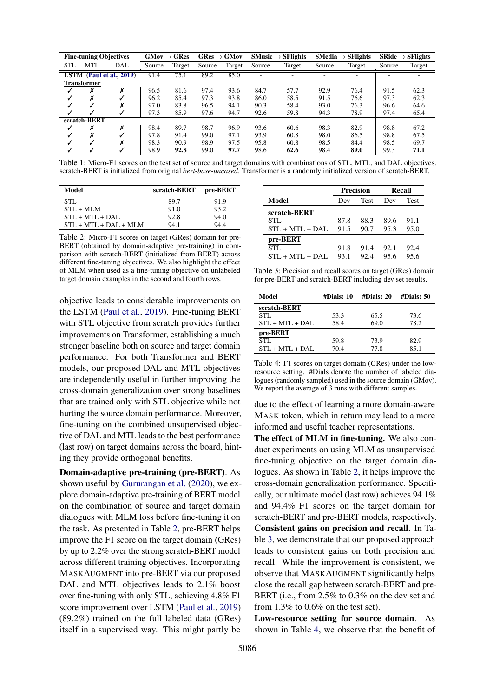<span id="page-3-0"></span>

| <b>Fine-tuning Objectives</b> |              | $GMov \rightarrow GRes$<br>$GRes \rightarrow GMov$ |        | $SMusic \rightarrow SFlights$ |        | $SMedia \rightarrow SFlights$ |        | $SRide \rightarrow SFlights$ |        |        |        |        |
|-------------------------------|--------------|----------------------------------------------------|--------|-------------------------------|--------|-------------------------------|--------|------------------------------|--------|--------|--------|--------|
| <b>STL</b>                    | MTL          | DAL                                                | Source | Target                        | Source | Target                        | Source | Target                       | Source | Target | Source | Target |
| LSTM $(Paul et al., 2019)$    |              | 91.4                                               | 75.1   | 89.2                          | 85.0   |                               | ٠      |                              |        |        |        |        |
| Transformer                   |              |                                                    |        |                               |        |                               |        |                              |        |        |        |        |
|                               | х            | Х                                                  | 96.5   | 81.6                          | 97.4   | 93.6                          | 84.7   | 57.7                         | 92.9   | 76.4   | 91.5   | 62.3   |
|                               | Х            |                                                    | 96.2   | 85.4                          | 97.3   | 93.8                          | 86.0   | 58.5                         | 91.5   | 76.6   | 97.3   | 62.3   |
|                               | $\checkmark$ | ^                                                  | 97.0   | 83.8                          | 96.5   | 94.1                          | 90.3   | 58.4                         | 93.0   | 76.3   | 96.6   | 64.6   |
|                               | √            |                                                    | 97.3   | 85.9                          | 97.6   | 94.7                          | 92.6   | 59.8                         | 94.3   | 78.9   | 97.4   | 65.4   |
| scratch-BERT                  |              |                                                    |        |                               |        |                               |        |                              |        |        |        |        |
|                               | х            | х                                                  | 98.4   | 89.7                          | 98.7   | 96.9                          | 93.6   | 60.6                         | 98.3   | 82.9   | 98.8   | 67.2   |
|                               | Х            |                                                    | 97.8   | 91.4                          | 99.0   | 97.1                          | 93.9   | 60.8                         | 98.0   | 86.5   | 98.8   | 67.5   |
|                               |              |                                                    | 98.3   | 90.9                          | 98.9   | 97.5                          | 95.8   | 60.8                         | 98.5   | 84.4   | 98.5   | 69.7   |
|                               | √            |                                                    | 98.9   | 92.8                          | 99.0   | 97.7                          | 98.6   | 62.6                         | 98.4   | 89.0   | 99.3   | 71.1   |

Table 1: Micro-F1 scores on the test set of source and target domains with combinations of STL, MTL, and DAL objectives. scratch-BERT is initialized from original *bert-base-uncased*. Transformer is a randomly initialized version of scratch-BERT.

<span id="page-3-1"></span>

| Model                    | scratch-BERT | pre-BERT |
|--------------------------|--------------|----------|
| STL.                     | 89.7         | 91.9     |
| $STL + MLM$              | 91.0         | 93.2     |
| $STL + MTL + DAL$        | 92.8         | 94.0     |
| $STL + MTL + DAL + MILM$ | 94.1         | 94.4     |

Table 2: Micro-F1 scores on target (GRes) domain for pre-BERT (obtained by domain-adaptive pre-training) in comparison with scratch-BERT (initialized from BERT) across different fine-tuning objectives. We also highlight the effect of MLM when used as a fine-tuning objective on unlabeled target domain examples in the second and fourth rows.

objective leads to considerable improvements on the LSTM [\(Paul et al.,](#page-5-9) [2019\)](#page-5-9). Fine-tuning BERT with STL objective from scratch provides further improvements on Transformer, establishing a much stronger baseline both on source and target domain performance. For both Transformer and BERT models, our proposed DAL and MTL objectives are independently useful in further improving the cross-domain generalization over strong baselines that are trained only with STL objective while not hurting the source domain performance. Moreover, fine-tuning on the combined unsupervised objective of DAL and MTL leads to the best performance (last row) on target domains across the board, hinting they provide orthogonal benefits.

Domain-adaptive pre-training (pre-BERT). As shown useful by [Gururangan et al.](#page-5-20) [\(2020\)](#page-5-20), we explore domain-adaptive pre-training of BERT model on the combination of source and target domain dialogues with MLM loss before fine-tuning it on the task. As presented in Table [2,](#page-3-1) pre-BERT helps improve the F1 score on the target domain (GRes) by up to 2.2% over the strong scratch-BERT model across different training objectives. Incorporating MASKAUGMENT into pre-BERT via our proposed DAL and MTL objectives leads to 2.1% boost over fine-tuning with only STL, achieving 4.8% F1 score improvement over LSTM [\(Paul et al.,](#page-5-9) [2019\)](#page-5-9) (89.2%) trained on the full labeled data (GRes) itself in a supervised way. This might partly be

<span id="page-3-2"></span>

|                   |      | <b>Precision</b> | Recall |      |  |
|-------------------|------|------------------|--------|------|--|
| Model             | Dev  | Test             | Dev    | Test |  |
| scratch-BERT      |      |                  |        |      |  |
| STL               | 87.8 | 88.3             | 89.6   | 91.1 |  |
| $STL + MTL + DAL$ | 91.5 | 90.7             | 95.3   | 95.0 |  |
| pre-BERT          |      |                  |        |      |  |
| STL.              | 91.8 | 91.4             | 92.1   | 92.4 |  |
| $STL + MTL + DAL$ | 93.1 | 92.4             | 95.6   | 95 6 |  |

Table 3: Precision and recall scores on target (GRes) domain for pre-BERT and scratch-BERT including dev set results.

<span id="page-3-3"></span>

| Model             | #Dials: 10 | #Dials: 20 | #Dials: 50 |
|-------------------|------------|------------|------------|
| scratch-BERT      |            |            |            |
| STL.              | 53.3       | 65.5       | 73.6       |
| $STL + MTL + DAL$ | 58.4       | 69.0       | 78.2       |
| pre-BERT          |            |            |            |
| STI.              | 59.8       | 73.9       | 82.9       |
| $STL + MTL + DAL$ | 70.4       | 77.8       | 85.1       |

Table 4: F1 scores on target domain (GRes) under the lowresource setting. #Dials denote the number of labeled dialogues (randomly sampled) used in the source domain (GMov). We report the average of 3 runs with different samples.

due to the effect of learning a more domain-aware MASK token, which in return may lead to a more informed and useful teacher representations.

The effect of MLM in fine-tuning. We also conduct experiments on using MLM as unsupervised fine-tuning objective on the target domain dialogues. As shown in Table [2,](#page-3-1) it helps improve the cross-domain generalization performance. Specifically, our ultimate model (last row) achieves 94.1% and 94.4% F1 scores on the target domain for scratch-BERT and pre-BERT models, respectively. Consistent gains on precision and recall. In Table [3,](#page-3-2) we demonstrate that our proposed approach leads to consistent gains on both precision and recall. While the improvement is consistent, we observe that MASKAUGMENT significantly helps close the recall gap between scratch-BERT and pre-BERT (i.e., from 2.5% to 0.3% on the dev set and from 1.3% to 0.6% on the test set).

Low-resource setting for source domain. As shown in Table [4,](#page-3-3) we observe that the benefit of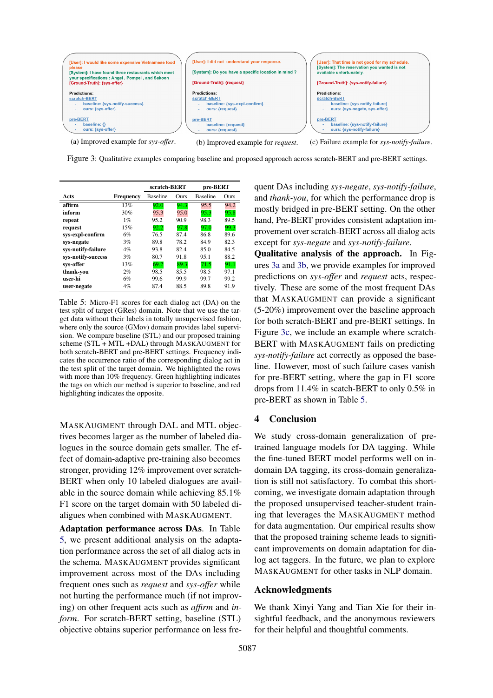<span id="page-4-1"></span>

(a) Improved example for *sys-offer*. (b) Improved example for *request*. (c) Failure example for *sys-notify-failure*.

Figure 3: Qualitative examples comparing baseline and proposed approach across scratch-BERT and pre-BERT settings.

<span id="page-4-0"></span>

|                    |           | scratch-BERT    |      | pre-BERT        |      |
|--------------------|-----------|-----------------|------|-----------------|------|
| Acts               | Frequency | <b>Baseline</b> | Ours | <b>Baseline</b> | Ours |
| affirm             | 13%       | 92.0            | 94.3 | 95.5            | 94.2 |
| inform             | 30%       | 95.3            | 95.0 | 95.3            | 95.8 |
| repeat             | 1%        | 95.2            | 90.9 | 98.3            | 89.5 |
| request            | 15%       | 92.2            | 97.8 | 97.0            | 99.3 |
| sys-expl-confirm   | 6%        | 76.5            | 87.4 | 86.8            | 89.6 |
| sys-negate         | 3%        | 89.8            | 78.2 | 84.9            | 82.3 |
| sys-notify-failure | $4\%$     | 93.8            | 82.4 | 85.0            | 84.5 |
| sys-notify-success | 3%        | 80.7            | 91.8 | 95.1            | 88.2 |
| sys-offer          | 13%       | 69.2            | 89.3 | 71.5            | 91.1 |
| thank-you          | 2%        | 98.5            | 85.5 | 98.5            | 97.1 |
| user-hi            | 6%        | 99.6            | 99.9 | 99.7            | 99.2 |
| user-negate        | $4\%$     | 87.4            | 88.5 | 89.8            | 91.9 |

Table 5: Micro-F1 scores for each dialog act (DA) on the test split of target (GRes) domain. Note that we use the target data without their labels in totally unsupervised fashion, where only the source (GMov) domain provides label supervision. We compare baseline (STL) and our proposed training scheme (STL + MTL +DAL) through MASKAUGMENT for both scratch-BERT and pre-BERT settings. Frequency indicates the occurrence ratio of the corresponding dialog act in the test split of the target domain. We highlighted the rows with more than 10% frequency. Green highlighting indicates the tags on which our method is superior to baseline, and red highlighting indicates the opposite.

MASKAUGMENT through DAL and MTL objectives becomes larger as the number of labeled dialogues in the source domain gets smaller. The effect of domain-adaptive pre-training also becomes stronger, providing 12% improvement over scratch-BERT when only 10 labeled dialogues are available in the source domain while achieving 85.1% F1 score on the target domain with 50 labeled dialigues when combined with MASKAUGMENT.

Adaptation performance across DAs. In Table [5,](#page-4-0) we present additional analysis on the adaptation performance across the set of all dialog acts in the schema. MASKAUGMENT provides significant improvement across most of the DAs including frequent ones such as *request* and *sys-offer* while not hurting the performance much (if not improving) on other frequent acts such as *affirm* and *inform*. For scratch-BERT setting, baseline (STL) objective obtains superior performance on less frequent DAs including *sys-negate*, *sys-notify-failure*, and *thank-you*, for which the performance drop is mostly bridged in pre-BERT setting. On the other hand, Pre-BERT provides consistent adaptation improvement over scratch-BERT across all dialog acts except for *sys-negate* and *sys-notify-failure*.

Qualitative analysis of the approach. In Figures [3a](#page-4-1) and [3b,](#page-4-1) we provide examples for improved predictions on *sys-offer* and *request* acts, respectively. These are some of the most frequent DAs that MASKAUGMENT can provide a significant (5-20%) improvement over the baseline approach for both scratch-BERT and pre-BERT settings. In Figure [3c,](#page-4-1) we include an example where scratch-BERT with MASKAUGMENT fails on predicting *sys-notify-failure* act correctly as opposed the baseline. However, most of such failure cases vanish for pre-BERT setting, where the gap in F1 score drops from 11.4% in scatch-BERT to only 0.5% in pre-BERT as shown in Table [5.](#page-4-0)

## 4 Conclusion

We study cross-domain generalization of pretrained language models for DA tagging. While the fine-tuned BERT model performs well on indomain DA tagging, its cross-domain generalization is still not satisfactory. To combat this shortcoming, we investigate domain adaptation through the proposed unsupervised teacher-student training that leverages the MASKAUGMENT method for data augmentation. Our empirical results show that the proposed training scheme leads to significant improvements on domain adaptation for dialog act taggers. In the future, we plan to explore MASKAUGMENT for other tasks in NLP domain.

## Acknowledgments

We thank Xinyi Yang and Tian Xie for their insightful feedback, and the anonymous reviewers for their helpful and thoughtful comments.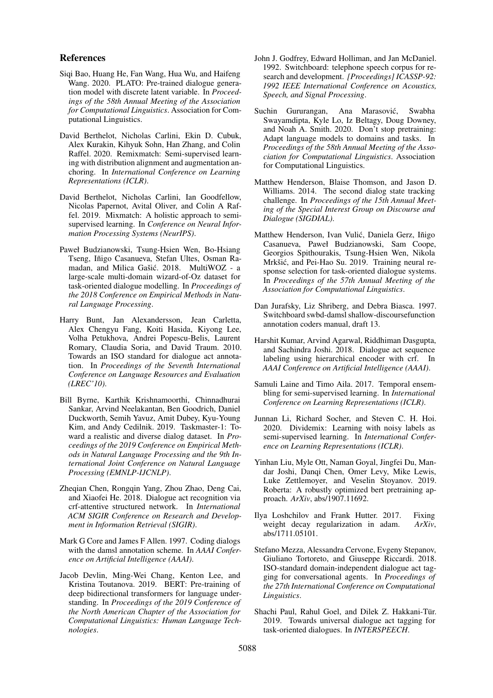#### References

- <span id="page-5-13"></span>Siqi Bao, Huang He, Fan Wang, Hua Wu, and Haifeng Wang. 2020. PLATO: Pre-trained dialogue generation model with discrete latent variable. In *Proceedings of the 58th Annual Meeting of the Association for Computational Linguistics*. Association for Computational Linguistics.
- <span id="page-5-16"></span>David Berthelot, Nicholas Carlini, Ekin D. Cubuk, Alex Kurakin, Kihyuk Sohn, Han Zhang, and Colin Raffel. 2020. Remixmatch: Semi-supervised learning with distribution alignment and augmentation anchoring. In *International Conference on Learning Representations (ICLR)*.
- <span id="page-5-15"></span>David Berthelot, Nicholas Carlini, Ian Goodfellow, Nicolas Papernot, Avital Oliver, and Colin A Raffel. 2019. Mixmatch: A holistic approach to semisupervised learning. In *Conference on Neural Information Processing Systems (NeurIPS)*.
- <span id="page-5-8"></span>Paweł Budzianowski, Tsung-Hsien Wen, Bo-Hsiang Tseng, Iñigo Casanueva, Stefan Ultes, Osman Ramadan, and Milica Gašić. 2018. MultiWOZ - a large-scale multi-domain wizard-of-Oz dataset for task-oriented dialogue modelling. In *Proceedings of the 2018 Conference on Empirical Methods in Natural Language Processing*.
- <span id="page-5-1"></span>Harry Bunt, Jan Alexandersson, Jean Carletta, Alex Chengyu Fang, Koiti Hasida, Kiyong Lee, Volha Petukhova, Andrei Popescu-Belis, Laurent Romary, Claudia Soria, and David Traum. 2010. Towards an ISO standard for dialogue act annotation. In *Proceedings of the Seventh International Conference on Language Resources and Evaluation (LREC'10)*.
- <span id="page-5-10"></span>Bill Byrne, Karthik Krishnamoorthi, Chinnadhurai Sankar, Arvind Neelakantan, Ben Goodrich, Daniel Duckworth, Semih Yavuz, Amit Dubey, Kyu-Young Kim, and Andy Cedilnik. 2019. Taskmaster-1: Toward a realistic and diverse dialog dataset. In *Proceedings of the 2019 Conference on Empirical Methods in Natural Language Processing and the 9th International Joint Conference on Natural Language Processing (EMNLP-IJCNLP)*.
- <span id="page-5-4"></span>Zheqian Chen, Rongqin Yang, Zhou Zhao, Deng Cai, and Xiaofei He. 2018. Dialogue act recognition via crf-attentive structured network. In *International ACM SIGIR Conference on Research and Development in Information Retrieval (SIGIR)*.
- <span id="page-5-0"></span>Mark G Core and James F Allen. 1997. Coding dialogs with the damsl annotation scheme. In *AAAI Conference on Artificial Intelligence (AAAI)*.
- <span id="page-5-11"></span>Jacob Devlin, Ming-Wei Chang, Kenton Lee, and Kristina Toutanova. 2019. BERT: Pre-training of deep bidirectional transformers for language understanding. In *Proceedings of the 2019 Conference of the North American Chapter of the Association for Computational Linguistics: Human Language Technologies*.
- <span id="page-5-5"></span>John J. Godfrey, Edward Holliman, and Jan McDaniel. 1992. Switchboard: telephone speech corpus for research and development. *[Proceedings] ICASSP-92: 1992 IEEE International Conference on Acoustics, Speech, and Signal Processing*.
- <span id="page-5-20"></span>Suchin Gururangan, Ana Marasović, Swabha Swayamdipta, Kyle Lo, Iz Beltagy, Doug Downey, and Noah A. Smith. 2020. Don't stop pretraining: Adapt language models to domains and tasks. In *Proceedings of the 58th Annual Meeting of the Association for Computational Linguistics*. Association for Computational Linguistics.
- <span id="page-5-7"></span>Matthew Henderson, Blaise Thomson, and Jason D. Williams. 2014. The second dialog state tracking challenge. In *Proceedings of the 15th Annual Meeting of the Special Interest Group on Discourse and Dialogue (SIGDIAL)*.
- <span id="page-5-14"></span>Matthew Henderson, Ivan Vulić, Daniela Gerz, Iñigo Casanueva, Paweł Budzianowski, Sam Coope, Georgios Spithourakis, Tsung-Hsien Wen, Nikola Mrkšić, and Pei-Hao Su. 2019. Training neural response selection for task-oriented dialogue systems. In *Proceedings of the 57th Annual Meeting of the Association for Computational Linguistics*.
- <span id="page-5-6"></span>Dan Jurafsky, Liz Shriberg, and Debra Biasca. 1997. Switchboard swbd-damsl shallow-discoursefunction annotation coders manual, draft 13.
- <span id="page-5-3"></span>Harshit Kumar, Arvind Agarwal, Riddhiman Dasgupta, and Sachindra Joshi. 2018. Dialogue act sequence labeling using hierarchical encoder with crf. In *AAAI Conference on Artificial Intelligence (AAAI)*.
- <span id="page-5-18"></span>Samuli Laine and Timo Aila. 2017. Temporal ensembling for semi-supervised learning. In *International Conference on Learning Representations (ICLR)*.
- <span id="page-5-17"></span>Junnan Li, Richard Socher, and Steven C. H. Hoi. 2020. Dividemix: Learning with noisy labels as semi-supervised learning. In *International Conference on Learning Representations (ICLR)*.
- <span id="page-5-12"></span>Yinhan Liu, Myle Ott, Naman Goyal, Jingfei Du, Mandar Joshi, Danqi Chen, Omer Levy, Mike Lewis, Luke Zettlemoyer, and Veselin Stoyanov. 2019. Roberta: A robustly optimized bert pretraining approach. *ArXiv*, abs/1907.11692.
- <span id="page-5-19"></span>Ilya Loshchilov and Frank Hutter. 2017. Fixing weight decay regularization in adam. *ArXiv*, abs/1711.05101.
- <span id="page-5-2"></span>Stefano Mezza, Alessandra Cervone, Evgeny Stepanov, Giuliano Tortoreto, and Giuseppe Riccardi. 2018. ISO-standard domain-independent dialogue act tagging for conversational agents. In *Proceedings of the 27th International Conference on Computational Linguistics*.
- <span id="page-5-9"></span>Shachi Paul, Rahul Goel, and Dilek Z. Hakkani-Tür. 2019. Towards universal dialogue act tagging for task-oriented dialogues. In *INTERSPEECH*.